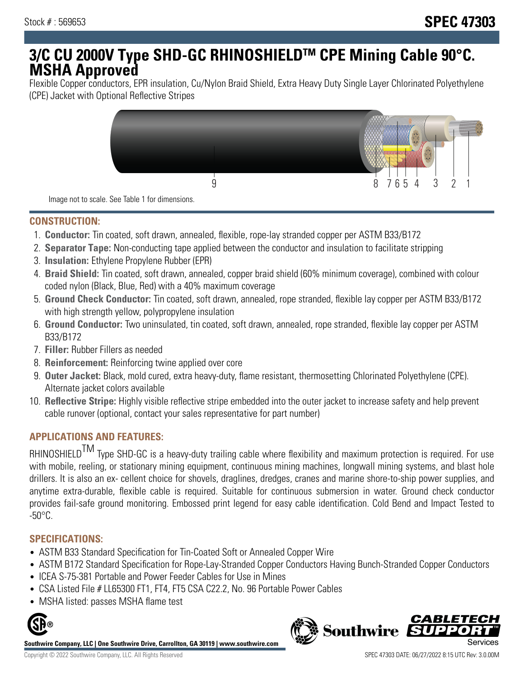# **3/C CU 2000V Type SHD-GC RHINOSHIELDTM CPE Mining Cable 90°C. MSHA Approved**

Flexible Copper conductors, EPR insulation, Cu/Nylon Braid Shield, Extra Heavy Duty Single Layer Chlorinated Polyethylene (CPE) Jacket with Optional Reflective Stripes



Image not to scale. See Table 1 for dimensions.

## **CONSTRUCTION:**

- 1. **Conductor:** Tin coated, soft drawn, annealed, flexible, rope-lay stranded copper per ASTM B33/B172
- 2. **Separator Tape:** Non-conducting tape applied between the conductor and insulation to facilitate stripping
- 3. **Insulation:** Ethylene Propylene Rubber (EPR)
- 4. **Braid Shield:** Tin coated, soft drawn, annealed, copper braid shield (60% minimum coverage), combined with colour coded nylon (Black, Blue, Red) with a 40% maximum coverage
- 5. **Ground Check Conductor:** Tin coated, soft drawn, annealed, rope stranded, flexible lay copper per ASTM B33/B172 with high strength yellow, polypropylene insulation
- 6. **Ground Conductor:** Two uninsulated, tin coated, soft drawn, annealed, rope stranded, flexible lay copper per ASTM B33/B172
- 7. **Filler:** Rubber Fillers as needed
- 8. **Reinforcement:** Reinforcing twine applied over core
- 9. **Outer Jacket:** Black, mold cured, extra heavy-duty, flame resistant, thermosetting Chlorinated Polyethylene (CPE). Alternate jacket colors available
- 10. **Reflective Stripe:** Highly visible reflective stripe embedded into the outer jacket to increase safety and help prevent cable runover (optional, contact your sales representative for part number)

# **APPLICATIONS AND FEATURES:**

RHINOSHIELD<sup>TM</sup> Type SHD-GC is a heavy-duty trailing cable where flexibility and maximum protection is required. For use with mobile, reeling, or stationary mining equipment, continuous mining machines, longwall mining systems, and blast hole drillers. It is also an ex- cellent choice for shovels, draglines, dredges, cranes and marine shore-to-ship power supplies, and anytime extra-durable, flexible cable is required. Suitable for continuous submersion in water. Ground check conductor provides fail-safe ground monitoring. Embossed print legend for easy cable identification. Cold Bend and Impact Tested to  $-50^{\circ}$ C.

#### **SPECIFICATIONS:**

- ASTM B33 Standard Specification for Tin-Coated Soft or Annealed Copper Wire
- ASTM B172 Standard Specification for Rope-Lay-Stranded Copper Conductors Having Bunch-Stranded Copper Conductors
- ICEA S-75-381 Portable and Power Feeder Cables for Use in Mines
- CSA Listed File # LL65300 FT1, FT4, FT5 CSA C22.2, No. 96 Portable Power Cables
- MSHA listed: passes MSHA flame test



**Southwire Company, LLC | One Southwire Drive, Carrollton, GA 30119 | www.southwire.com**

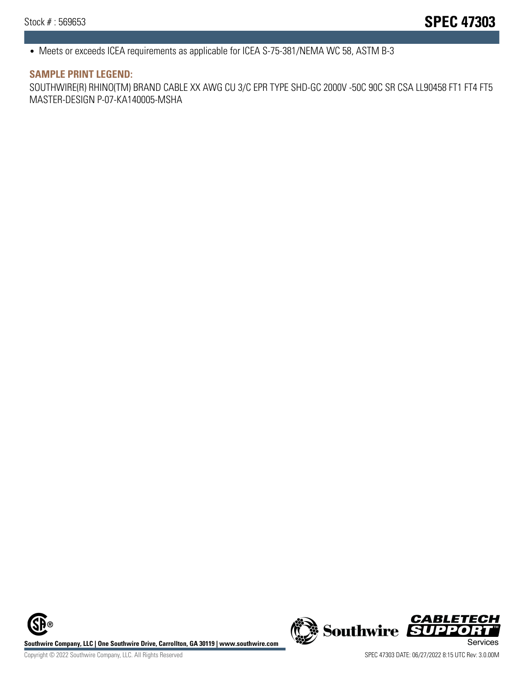• Meets or exceeds ICEA requirements as applicable for ICEA S-75-381/NEMA WC 58, ASTM B-3

#### **SAMPLE PRINT LEGEND:**

SOUTHWIRE(R) RHINO(TM) BRAND CABLE XX AWG CU 3/C EPR TYPE SHD-GC 2000V -50C 90C SR CSA LL90458 FT1 FT4 FT5 MASTER-DESIGN P-07-KA140005-MSHA

**Southwire Company, LLC | One Southwire Drive, Carrollton, GA 30119 | www.southwire.com**<br>Services